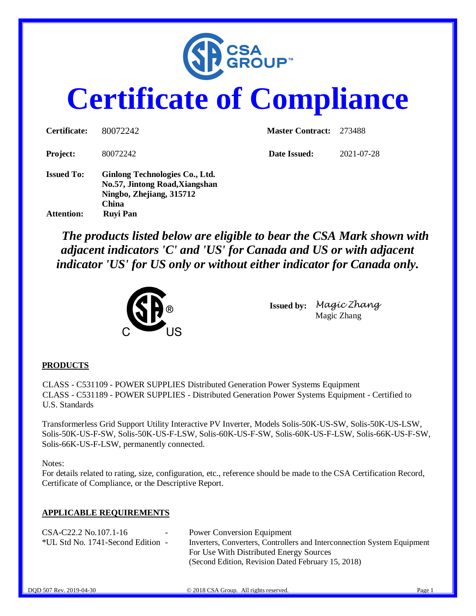

# **Certificate of Compliance**

| Certificate:                           | 80072242                                                                                                                        | <b>Master Contract:</b> | 273488     |
|----------------------------------------|---------------------------------------------------------------------------------------------------------------------------------|-------------------------|------------|
| <b>Project:</b>                        | 80072242                                                                                                                        | Date Issued:            | 2021-07-28 |
| <b>Issued To:</b><br><b>Attention:</b> | Ginlong Technologies Co., Ltd.<br>No.57, Jintong Road, Xiangshan<br>Ningbo, Zhejiang, 315712<br><b>China</b><br><b>Ruyi Pan</b> |                         |            |

 *The products listed below are eligible to bear the CSA Mark shown with adjacent indicators 'C' and 'US' for Canada and US or with adjacent indicator 'US' for US only or without either indicator for Canada only.*



**Issued by:** *Magic Zhang* Magic Zhang

#### **PRODUCTS**

CLASS - C531109 - POWER SUPPLIES Distributed Generation Power Systems Equipment CLASS - C531189 - POWER SUPPLIES - Distributed Generation Power Systems Equipment - Certified to U.S. Standards

Transformerless Grid Support Utility Interactive PV Inverter, Models Solis-50K-US-SW, Solis-50K-US-LSW, Solis-50K-US-F-SW, Solis-50K-US-F-LSW, Solis-60K-US-F-SW, Solis-60K-US-F-LSW, Solis-66K-US-F-SW, Solis-66K-US-F-LSW, permanently connected.

Notes:

For details related to rating, size, configuration, etc., reference should be made to the CSA Certification Record, Certificate of Compliance, or the Descriptive Report.

#### **APPLICABLE REQUIREMENTS**

| CSA-C22.2 No.107.1-16             | $\sim$ | <b>Power Conversion Equipment</b>                                       |
|-----------------------------------|--------|-------------------------------------------------------------------------|
| *UL Std No. 1741-Second Edition - |        | Inverters, Converters, Controllers and Interconnection System Equipment |
|                                   |        | For Use With Distributed Energy Sources                                 |
|                                   |        | (Second Edition, Revision Dated February 15, 2018)                      |
|                                   |        |                                                                         |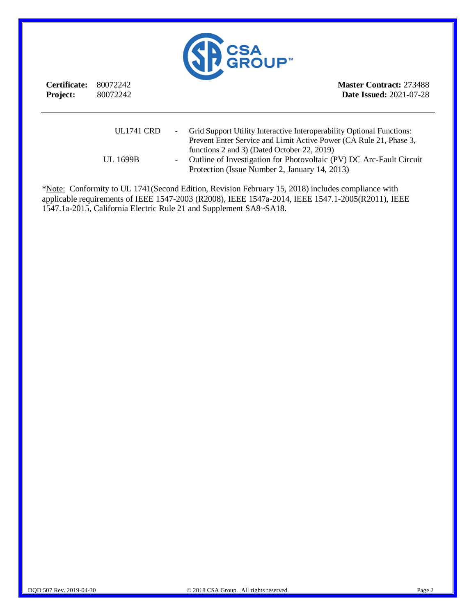

**Certificate:** 80072242 **Project:** 80072242 **Master Contract:** 273488 **Date Issued:** 2021-07-28

| <b>UL1741 CRD</b> | Grid Support Utility Interactive Interoperability Optional Functions: |
|-------------------|-----------------------------------------------------------------------|
|                   | Prevent Enter Service and Limit Active Power (CA Rule 21, Phase 3,    |
|                   | functions 2 and 3) (Dated October 22, 2019)                           |
| <b>UL 1699B</b>   | - Outline of Investigation for Photovoltaic (PV) DC Arc-Fault Circuit |
|                   | Protection (Issue Number 2, January 14, 2013)                         |

\*Note: Conformity to UL 1741(Second Edition, Revision February 15, 2018) includes compliance with applicable requirements of IEEE 1547-2003 (R2008), IEEE 1547a-2014, IEEE 1547.1-2005(R2011), IEEE 1547.1a-2015, California Electric Rule 21 and Supplement SA8~SA18.